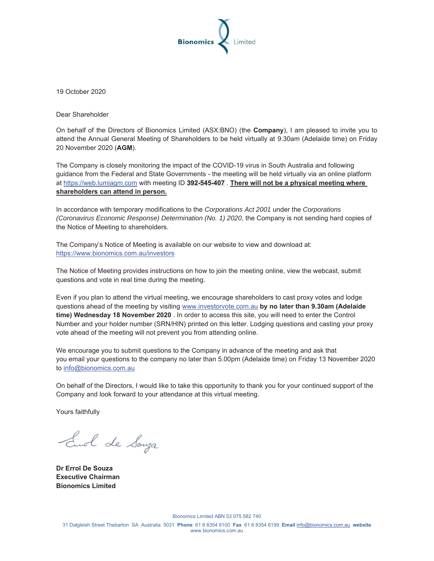

19 October 2020

Dear Shareholder

On behalf of the Directors of Bionomics Limited (ASX:BNO) (the **Company**), I am pleased to invite you to attend the Annual General Meeting of Shareholders to be held virtually at 9.30am (Adelaide time) on Friday 20 November 2020 (**AGM**).

The Company is closely monitoring the impact of the COVID-19 virus in South Australia and following guidance from the Federal and State Governments - the meeting will be held virtually via an online platform at https://web.lumiagm.com with meeting ID **392-545-407** . **There will not be a physical meeting where shareholders can attend in person.** 

In accordance with temporary modifications to the *Corporations Act 2001* under the *Corporations (Coronavirus Economic Response) Determination (No. 1) 2020*, the Company is not sending hard copies of the Notice of Meeting to shareholders.

The Company's Notice of Meeting is available on our website to view and download at: https://www.bionomics.com.au/investors

The Notice of Meeting provides instructions on how to join the meeting online, view the webcast, submit questions and vote in real time during the meeting.

Even if you plan to attend the virtual meeting, we encourage shareholders to cast proxy votes and lodge questions ahead of the meeting by visiting www.investorvote.com.au **by no later than 9.30am (Adelaide time) Wednesday 18 November 2020** . In order to access this site, you will need to enter the Control Number and your holder number (SRN/HIN) printed on this letter. Lodging questions and casting your proxy vote ahead of the meeting will not prevent you from attending online.

We encourage you to submit questions to the Company in advance of the meeting and ask that you email your questions to the company no later than 5.00pm (Adelaide time) on Friday 13 November 2020 to info@bionomics.com.au

On behalf of the Directors, I would like to take this opportunity to thank you for your continued support of the Company and look forward to your attendance at this virtual meeting.

Yours faithfully

End de Souza

**Dr Errol De Souza Executive Chairman Bionomics Limited** 

Bionomics Limited ABN 53 075 582 740

31 Dalgleish Street Thebarton SA Australia 5031 **Phone** 61 8 8354 6100 **Fax** 61 8 8354 6199 **Email** info@bionomics.com.au **website**  www.bionomics.com.au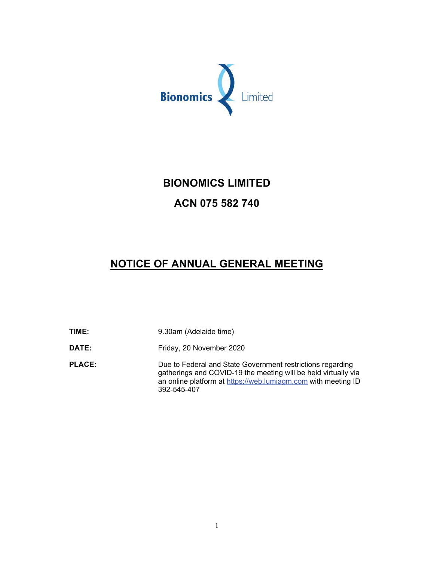

## **BIONOMICS LIMITED**

# ACN 075 582 740

# NOTICE OF ANNUAL GENERAL MEETING

TIME: 9.30am (Adelaide time) DATE: Friday, 20 November 2020 **PLACE:** Due to Federal and State Government restrictions regarding gatherings and COVID-19 the meeting will be held virtually via an online platform at https://web.lumiagm.com with meeting ID

392-545-407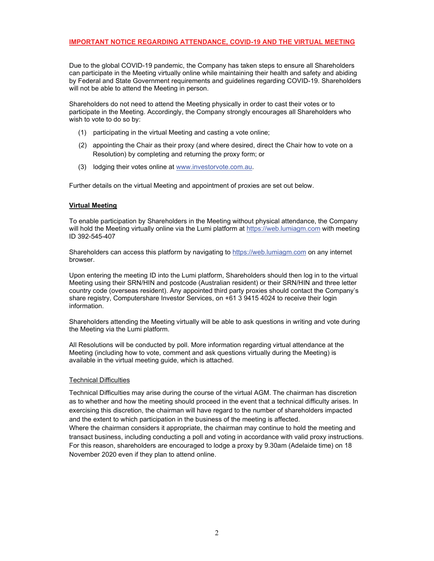Due to the global COVID-19 pandemic, the Company has taken steps to ensure all Shareholders can participate in the Meeting virtually online while maintaining their health and safety and abiding by Federal and State Government requirements and guidelines regarding COVID-19. Shareholders will not be able to attend the Meeting in person.

Shareholders do not need to attend the Meeting physically in order to cast their votes or to participate in the Meeting. Accordingly, the Company strongly encourages all Shareholders who wish to vote to do so by:

- (1) participating in the virtual Meeting and casting a vote online;
- (2) appointing the Chair as their proxy (and where desired, direct the Chair how to vote on a Resolution) by completing and returning the proxy form; or
- (3) lodging their votes online at www.investorvote.com.au.

Further details on the virtual Meeting and appointment of proxies are set out below.

#### **Virtual Meeting**

To enable participation by Shareholders in the Meeting without physical attendance, the Company will hold the Meeting virtually online via the Lumi platform at https://web.lumiagm.com with meeting ID 392-545-407

Shareholders can access this platform by navigating to https://web.lumiagm.com on any internet browser.

Upon entering the meeting ID into the Lumi platform, Shareholders should then log in to the virtual Meeting using their SRN/HIN and postcode (Australian resident) or their SRN/HIN and three letter country code (overseas resident). Any appointed third party proxies should contact the Company's share registry, Computershare Investor Services, on +61 3 9415 4024 to receive their login information.

Shareholders attending the Meeting virtually will be able to ask questions in writing and vote during the Meeting via the Lumi platform.

All Resolutions will be conducted by poll. More information regarding virtual attendance at the Meeting (including how to vote, comment and ask questions virtually during the Meeting) is available in the virtual meeting guide, which is attached.

#### **Technical Difficulties**

Technical Difficulties may arise during the course of the virtual AGM. The chairman has discretion as to whether and how the meeting should proceed in the event that a technical difficulty arises. In exercising this discretion, the chairman will have regard to the number of shareholders impacted and the extent to which participation in the business of the meeting is affected. Where the chairman considers it appropriate, the chairman may continue to hold the meeting and transact business, including conducting a poll and voting in accordance with valid proxy instructions. For this reason, shareholders are encouraged to lodge a proxy by 9.30am (Adelaide time) on 18 November 2020 even if they plan to attend online.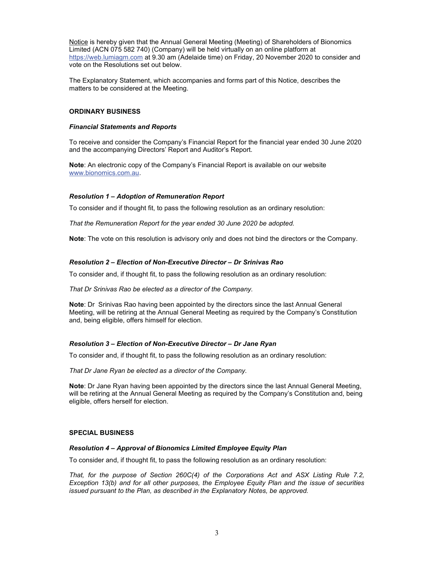Notice is hereby given that the Annual General Meeting (Meeting) of Shareholders of Bionomics Limited (ACN 075 582 740) (Company) will be held virtually on an online platform at https://web.lumiagm.com at 9.30 am (Adelaide time) on Friday, 20 November 2020 to consider and vote on the Resolutions set out below.

The Explanatory Statement, which accompanies and forms part of this Notice, describes the matters to be considered at the Meeting.

#### ORDINARY BUSINESS

#### Financial Statements and Reports

To receive and consider the Company's Financial Report for the financial year ended 30 June 2020 and the accompanying Directors' Report and Auditor's Report.

Note: An electronic copy of the Company's Financial Report is available on our website www.bionomics.com.au.

#### Resolution 1 – Adoption of Remuneration Report

To consider and if thought fit, to pass the following resolution as an ordinary resolution:

That the Remuneration Report for the year ended 30 June 2020 be adopted.

Note: The vote on this resolution is advisory only and does not bind the directors or the Company.

#### Resolution 2 – Election of Non-Executive Director – Dr Srinivas Rao

To consider and, if thought fit, to pass the following resolution as an ordinary resolution:

That Dr Srinivas Rao be elected as a director of the Company.

Note: Dr Srinivas Rao having been appointed by the directors since the last Annual General Meeting, will be retiring at the Annual General Meeting as required by the Company's Constitution and, being eligible, offers himself for election.

#### Resolution 3 – Election of Non-Executive Director – Dr Jane Ryan

To consider and, if thought fit, to pass the following resolution as an ordinary resolution:

That Dr Jane Ryan be elected as a director of the Company.

Note: Dr Jane Ryan having been appointed by the directors since the last Annual General Meeting, will be retiring at the Annual General Meeting as required by the Company's Constitution and, being eligible, offers herself for election.

#### **SPECIAL BUSINESS**

#### Resolution 4 – Approval of Bionomics Limited Employee Equity Plan

To consider and, if thought fit, to pass the following resolution as an ordinary resolution:

That, for the purpose of Section 260C(4) of the Corporations Act and ASX Listing Rule 7.2, Exception 13(b) and for all other purposes, the Employee Equity Plan and the issue of securities issued pursuant to the Plan, as described in the Explanatory Notes, be approved.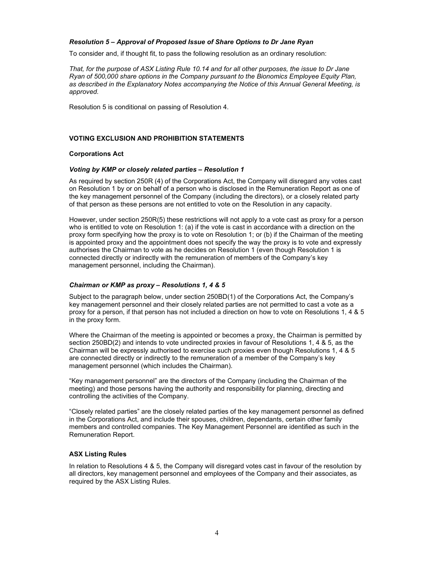#### Resolution 5 – Approval of Proposed Issue of Share Options to Dr Jane Ryan

To consider and, if thought fit, to pass the following resolution as an ordinary resolution:

That, for the purpose of ASX Listing Rule 10.14 and for all other purposes, the issue to Dr Jane Ryan of 500,000 share options in the Company pursuant to the Bionomics Employee Equity Plan, as described in the Explanatory Notes accompanying the Notice of this Annual General Meeting, is approved.

Resolution 5 is conditional on passing of Resolution 4.

#### VOTING EXCLUSION AND PROHIBITION STATEMENTS

#### Corporations Act

#### Voting by KMP or closely related parties – Resolution 1

As required by section 250R (4) of the Corporations Act, the Company will disregard any votes cast on Resolution 1 by or on behalf of a person who is disclosed in the Remuneration Report as one of the key management personnel of the Company (including the directors), or a closely related party of that person as these persons are not entitled to vote on the Resolution in any capacity.

However, under section 250R(5) these restrictions will not apply to a vote cast as proxy for a person who is entitled to vote on Resolution 1: (a) if the vote is cast in accordance with a direction on the proxy form specifying how the proxy is to vote on Resolution 1; or (b) if the Chairman of the meeting is appointed proxy and the appointment does not specify the way the proxy is to vote and expressly authorises the Chairman to vote as he decides on Resolution 1 (even though Resolution 1 is connected directly or indirectly with the remuneration of members of the Company's key management personnel, including the Chairman).

#### Chairman or KMP as proxy – Resolutions 1, 4 & 5

Subject to the paragraph below, under section 250BD(1) of the Corporations Act, the Company's key management personnel and their closely related parties are not permitted to cast a vote as a proxy for a person, if that person has not included a direction on how to vote on Resolutions 1, 4 & 5 in the proxy form.

Where the Chairman of the meeting is appointed or becomes a proxy, the Chairman is permitted by section 250BD(2) and intends to vote undirected proxies in favour of Resolutions 1, 4 & 5, as the Chairman will be expressly authorised to exercise such proxies even though Resolutions 1, 4 & 5 are connected directly or indirectly to the remuneration of a member of the Company's key management personnel (which includes the Chairman).

"Key management personnel" are the directors of the Company (including the Chairman of the meeting) and those persons having the authority and responsibility for planning, directing and controlling the activities of the Company.

"Closely related parties" are the closely related parties of the key management personnel as defined in the Corporations Act, and include their spouses, children, dependants, certain other family members and controlled companies. The Key Management Personnel are identified as such in the Remuneration Report.

#### **ASX Listing Rules**

In relation to Resolutions 4 & 5, the Company will disregard votes cast in favour of the resolution by all directors, key management personnel and employees of the Company and their associates, as required by the ASX Listing Rules.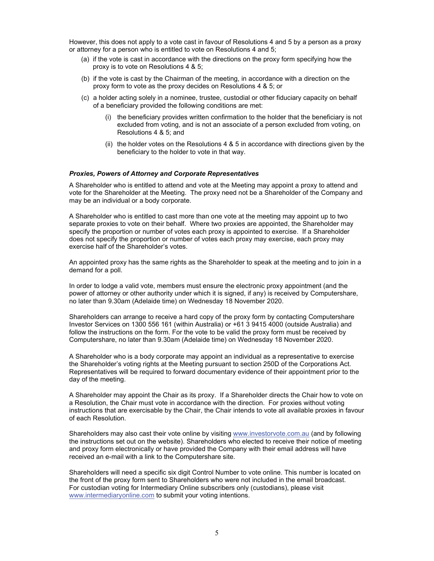However, this does not apply to a vote cast in favour of Resolutions 4 and 5 by a person as a proxy or attorney for a person who is entitled to vote on Resolutions 4 and 5;

- (a) if the vote is cast in accordance with the directions on the proxy form specifying how the proxy is to vote on Resolutions 4 & 5;
- (b) if the vote is cast by the Chairman of the meeting, in accordance with a direction on the proxy form to vote as the proxy decides on Resolutions 4 & 5; or
- (c) a holder acting solely in a nominee, trustee, custodial or other fiduciary capacity on behalf of a beneficiary provided the following conditions are met:
	- (i) the beneficiary provides written confirmation to the holder that the beneficiary is not excluded from voting, and is not an associate of a person excluded from voting, on Resolutions 4 & 5; and
	- (ii) the holder votes on the Resolutions  $4 \& 5$  in accordance with directions given by the beneficiary to the holder to vote in that way.

#### Proxies, Powers of Attorney and Corporate Representatives

A Shareholder who is entitled to attend and vote at the Meeting may appoint a proxy to attend and vote for the Shareholder at the Meeting. The proxy need not be a Shareholder of the Company and may be an individual or a body corporate.

A Shareholder who is entitled to cast more than one vote at the meeting may appoint up to two separate proxies to vote on their behalf. Where two proxies are appointed, the Shareholder may specify the proportion or number of votes each proxy is appointed to exercise. If a Shareholder does not specify the proportion or number of votes each proxy may exercise, each proxy may exercise half of the Shareholder's votes.

An appointed proxy has the same rights as the Shareholder to speak at the meeting and to join in a demand for a poll.

In order to lodge a valid vote, members must ensure the electronic proxy appointment (and the power of attorney or other authority under which it is signed, if any) is received by Computershare, no later than 9.30am (Adelaide time) on Wednesday 18 November 2020.

Shareholders can arrange to receive a hard copy of the proxy form by contacting Computershare Investor Services on 1300 556 161 (within Australia) or +61 3 9415 4000 (outside Australia) and follow the instructions on the form. For the vote to be valid the proxy form must be received by Computershare, no later than 9.30am (Adelaide time) on Wednesday 18 November 2020.

A Shareholder who is a body corporate may appoint an individual as a representative to exercise the Shareholder's voting rights at the Meeting pursuant to section 250D of the Corporations Act. Representatives will be required to forward documentary evidence of their appointment prior to the day of the meeting.

A Shareholder may appoint the Chair as its proxy. If a Shareholder directs the Chair how to vote on a Resolution, the Chair must vote in accordance with the direction. For proxies without voting instructions that are exercisable by the Chair, the Chair intends to vote all available proxies in favour of each Resolution.

Shareholders may also cast their vote online by visiting www.investorvote.com.au (and by following the instructions set out on the website). Shareholders who elected to receive their notice of meeting and proxy form electronically or have provided the Company with their email address will have received an e-mail with a link to the Computershare site.

Shareholders will need a specific six digit Control Number to vote online. This number is located on the front of the proxy form sent to Shareholders who were not included in the email broadcast. For custodian voting for Intermediary Online subscribers only (custodians), please visit www.intermediaryonline.com to submit your voting intentions.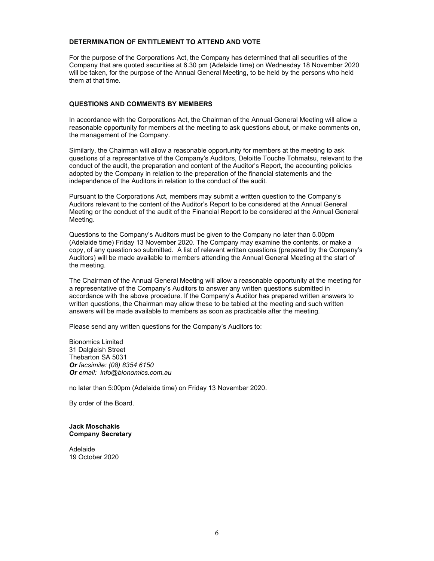#### DETERMINATION OF ENTITLEMENT TO ATTEND AND VOTE

For the purpose of the Corporations Act, the Company has determined that all securities of the Company that are quoted securities at 6.30 pm (Adelaide time) on Wednesday 18 November 2020 will be taken, for the purpose of the Annual General Meeting, to be held by the persons who held them at that time.

#### QUESTIONS AND COMMENTS BY MEMBERS

In accordance with the Corporations Act, the Chairman of the Annual General Meeting will allow a reasonable opportunity for members at the meeting to ask questions about, or make comments on, the management of the Company.

Similarly, the Chairman will allow a reasonable opportunity for members at the meeting to ask questions of a representative of the Company's Auditors, Deloitte Touche Tohmatsu, relevant to the conduct of the audit, the preparation and content of the Auditor's Report, the accounting policies adopted by the Company in relation to the preparation of the financial statements and the independence of the Auditors in relation to the conduct of the audit.

Pursuant to the Corporations Act, members may submit a written question to the Company's Auditors relevant to the content of the Auditor's Report to be considered at the Annual General Meeting or the conduct of the audit of the Financial Report to be considered at the Annual General Meeting.

Questions to the Company's Auditors must be given to the Company no later than 5.00pm (Adelaide time) Friday 13 November 2020. The Company may examine the contents, or make a copy, of any question so submitted. A list of relevant written questions (prepared by the Company's Auditors) will be made available to members attending the Annual General Meeting at the start of the meeting.

The Chairman of the Annual General Meeting will allow a reasonable opportunity at the meeting for a representative of the Company's Auditors to answer any written questions submitted in accordance with the above procedure. If the Company's Auditor has prepared written answers to written questions, the Chairman may allow these to be tabled at the meeting and such written answers will be made available to members as soon as practicable after the meeting.

Please send any written questions for the Company's Auditors to:

Bionomics Limited 31 Dalgleish Street Thebarton SA 5031 Or facsimile: (08) 8354 6150 Or email: info@bionomics.com.au

no later than 5:00pm (Adelaide time) on Friday 13 November 2020.

By order of the Board.

#### **Jack Moschakis** Company Secretary

Adelaide 19 October 2020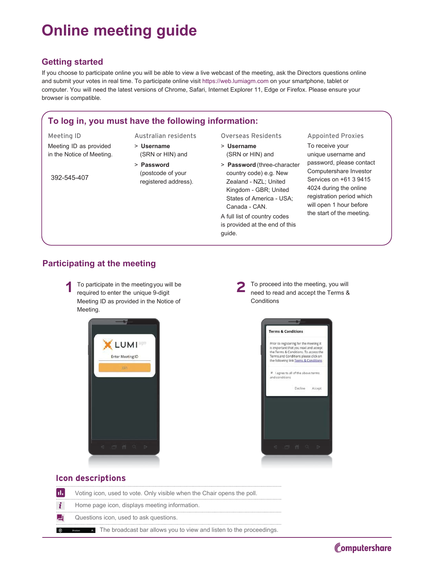# **2011** Online meeting guide

#### **Getting started**

If you choose to participate online you will be able to view a live webcast of the meeting, ask the Directors questions online and submit your votes in real time. To participate online visit https://web.lumiagm.com on your smartphone, tablet or computer. You will need the latest versions of Chrome, Safari, Internet Explorer 11, Edge or Firefox. Please ensure your browser is compatible.

### To log in, you must have the following information:

- Meeting ID Australian residents Overseas Residents Appointed Proxies
- Meeting ID as provided in the Notice of Meeting.
- $>$  Username
- (SRN or HIN) and > Password
- 392-545-407
- (postcode of your

registered address).

> **Password** (three-character (SRN or HIN) and country code) e.g. New

 $>$  Username

Zealand - NZL; United Kingdom - GBR; United States of America - USA; Canada - CAN.

A full list of country codes is provided at the end of this guide.

To receive your unique username and password, please contact Computershare Investor Services on +61 3 9415 4024 during the online registration period which will open 1 hour before the start of the meeting.

### **Participating at the meeting**

To participate in the meeting you will be<br>**2** 7 To proceed into the meeting, you will<br>need to read and accept the Terms & required to enter the unique 9-digit Meeting ID as provided in the Notice of Meeting.



need to read and accept the Terms & Conditions



#### **Icon descriptions**

| $\vert$ ıl. $\vert$ | Voting icon, used to vote. Only visible when the Chair opens the poll. |
|---------------------|------------------------------------------------------------------------|
|                     | Home page icon, displays meeting information.                          |
|                     | Questions icon, used to ask questions.                                 |
| 一面                  | The broadcast bar allows you to view and listen to the proceedings.    |

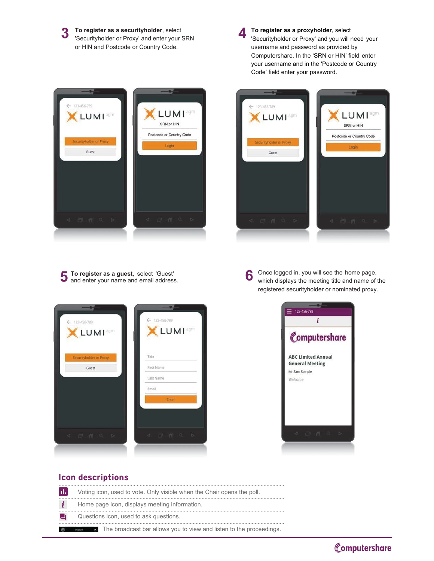**3** To register as a securityholder, select<br>
Securityholder or Proxy' and enter your SRN To register as a securityholder, select I or HIN and Postcode or Country Code.



To register as a proxyholder, select Securityholder or Proxy' and you will need your username and password as provided by Computershare. In the 'SRN or HIN' field enter your username and in the 'Postcode or Country Code' field enter your password.





**To register as a guest**, select 'Guest'<br>and enter your name and email address. and enter your name and email address. 5

Once logged in, you will see the home page, which displays the meeting title and name of the registered securityholder or nominated proxy.





#### **Icon descriptions**

| $ \mathbf{u}_t $ | Voting icon, used to vote. Only visible when the Chair opens the poll. |
|------------------|------------------------------------------------------------------------|
|                  | Home page icon, displays meeting information.                          |
|                  | Questions icon, used to ask questions.                                 |
| 由                | The broadcast bar allows you to view and listen to the proceedings.    |

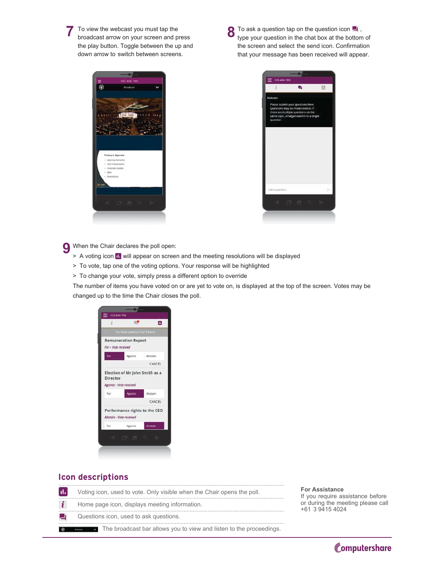To view the webcast you must tap the broadcast arrow on your screen and press the play button. Toggle between the up and down arrow to switch between screens.

To ask a question tap on the question icon  $\blacksquare$ , 8 type your question in the chat box at the bottom of the screen and select the send icon. Confirmation that your message has been received will appear.





When the Chair declares the poll open: Q

- > A voting icon **II** will appear on screen and the meeting resolutions will be displayed
- > To vote, tap one of the voting options. Your response will be highlighted
- > To change your vote, simply press a different option to override

The number of items you have voted on or are yet to vote on, is displayed at the top of the screen. Votes may be changed up to the time the Chair closes the poll.

|                     | μ€                                 | d.      |
|---------------------|------------------------------------|---------|
|                     | You have voted on 3 of 3 items     |         |
|                     | <b>Remuneration Report</b>         |         |
| For - Vote received |                                    |         |
| For                 | Against                            | Abstain |
|                     |                                    | CANCEL  |
| For                 | Against - Vote received<br>Against | Abstain |
|                     |                                    | CANCEL  |
|                     |                                    |         |
|                     | Performance rights to the CEO      |         |
|                     | Abstain - Vote received            |         |
|                     | Against                            | Abstain |
| For                 |                                    |         |

#### **Icon descriptions**

| H. | Voting icon, used to vote. Only visible when the Chair opens the poll. |   |
|----|------------------------------------------------------------------------|---|
|    | Home page icon, displays meeting information.                          | ∩ |
| ▃  | Questions icon, used to ask questions.                                 |   |
| 命  | The broadcast bar allows you to view and listen to the proceedings.    |   |

#### or Assistance<sup>:</sup>

you require assistance before or during the meeting please call 61 3 9415 4024

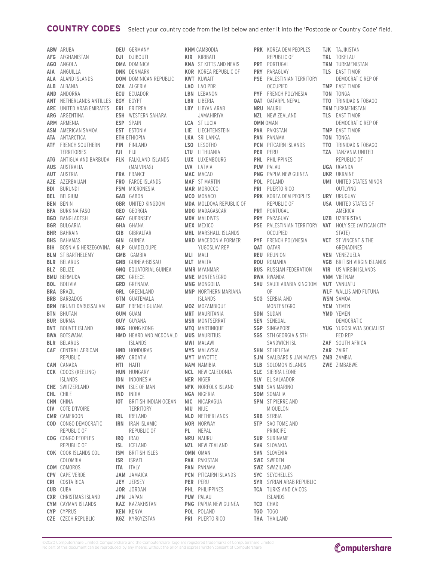#### **COUNTRY CODES** Select your country code from the list below and enter it into the 'Postcode or Country Code' field.

**ABW** ARUBA **AFG** AFGHANISTAN **AGO** ANGOLA **AIA** ANGUILLA **ALA** ALAND ISLANDS **ALB** ALBANIA **AND** ANDORRA **ANT** NETHERLANDS ANTILLES **ARE** UNITED ARAB EMIRATES **ARG** ARGENTINA **ARM** ARMENIA **ASM** AMERICAN SAMOA **ATA** ANTARCTICA **ATF** FRENCH SOUTHERN TERRITORIES **ATG** ANTIGUA AND BARBUDA **AUS** AUSTRALIA **AUT** AUSTRIA **AZE** AZERBAIJAN **BDI** BURUNDI **BEL** BELGIUM **BEN** BENIN **BFA** BURKINA FASO **BGD** BANGLADESH **BGR** BULGARIA **BHR** BAHRAIN **BHS** BAHAMAS **BIH** BOSNIA & HERZEGOVINA **BLM** ST BARTHELEMY **BLR** BELARUS **BLZ** BELIZE **BMU** BERMUDA **BOL** BOLIVIA **BRA** BRAZIL **BRB** BARBADOS **BRN** BRUNEI DARUSSALAM **BTN** BHUTAN **BUR** BURMA **BVT** BOUVET ISLAND **BWA** BOTSWANA **BLR** BELARUS **CAF** CENTRAL AFRICAN REPUBLIC **CAN** CANADA **CCK** COCOS (KEELING) ISLANDS **CHE** SWITZERLAND **CHL** CHILE **CHN** CHINA **CIV** COTE D'IVOIRE **CMR** CAMEROON **COD** CONGO DEMOCRATIC REPUBLIC OF **COG** CONGO PEOPLES REPUBLIC OF **COK** COOK ISLANDS COL COLOMBIA **COM** COMOROS **CPV** CAPE VERDE **CRI** COSTA RICA **CUB** CUBA **CXR** CHRISTMAS ISLAND **CYM** CAYMAN ISLANDS **CYP** CYPRUS **CZE** CZECH REPUBLIC **DEU** GERMANY **DJI** DJIBOUTI **DMA** DOMINICA **DNK** DENMARK **DZA** ALGERIA **ECU** ECUADOR **EGY** EGYPT **ERI** ERITREA **ESP** SPAIN **EST** ESTONIA **ETH** ETHIOPIA **FIN** FINLAND **FJI** FIJI **FRA** FRANCE **FSM** MICRONESIA **GAB** GABON **GEO** GEORGIA **GGY** GUERNSEY **GHA** GHANA **GIB** GIBRALTAR **GIN** GUINEA **GLP** GUADELOUPE **GMB** GAMBIA **GRC** GREECE **GRD** GRENADA **GTM** GUATEMALA **GUY** GUYANA **HKG** HONG KONG **HND** HONDURAS **HRV** CROATIA **HTI** HAITI **HUN** HUNGARY **IDN** INDONESIA **IMN** ISLE OF MAN **IND** INDIA **IRL** IRELAND **IRN** IRAN ISLAMIC **IRQ** IRAQ **ISL** ICELAND **ISR** ISRAEL **ITA** ITALY **JAM** JAMAICA **JEY** JERSEY **JOR** JORDAN **JPN** JAPAN **KAZ** KAZAKHSTAN **KEN** KENYA **KGZ** KYRGYZSTAN

**DOM** DOMINICAN REPUBLIC **KWT** KUWAIT **ESH** WESTERN SAHARA **FLK** FALKLAND ISLANDS (MALVINAS) **FRO** FAROE ISLANDS **GBR** UNITED KINGDOM **GNB** GUINEA-BISSAU **GNQ** EQUATORIAL GUINEA **GRL** GREENLAND<br>**GTM** GUATEMALA **GUF** FRENCH GUIANA **GUM** GUAM **HMD** HEARD AND MCDONALD ISLANDS **IOT** BRITISH INDIAN OCEAN TERRITORY REPUBLIC OF **ISM** BRITISH ISLES **HMD** HEARD AND MCDONALD **MUS** MAURITIUS

**KHM** CAMBODIA **KIR** KIRIBATI **KNA** ST KITTS AND NEVIS **PRT** PORTUGAL **KOR** KOREA REPUBLIC OF **PRY** PARAGUAY **LAO** LAO PDR **LBN** LEBANON **LBR** LIBERIA **LBY** LIBYAN ARAB JAMAHIRIYA **LCA** ST LUCIA **LIE** LIECHTENSTEIN **LKA** SRI LANKA **LSO** LESOTHO **LTU** LITHUANIA **LUX** LUXEMBOURG **LVA** LATVIA **MAC** MACAO **MAF** ST MARTIN **MAR** MOROCCO **MCO** MONACO **MDA** MOLDOVA REPUBLIC OF **MDG** MADAGASCAR **MDV** MALDIVES **MEX** MEXICO **MHL** MARSHALL ISLANDS **MKD** MACEDONIA FORMER YUGOSLAV REP **MLI** MALI **MLT** MALTA **MMR** MYANMAR **MNE** MONTENEGRO **MNG** MONGOLIA **MNP** NORTHERN MARIANA **ISLANDS MOZ** MOZAMBIQUE **MRT** MAURITANIA **MSR** MONTSERRAT **MTQ** MARTINIQUE **MWI** MALAWI **MYS** MALAYSIA **MYT** MAYOTTE **NAM** NAMIBIA **NCL** NEW CALEDONIA **NER** NIGER **NFK** NORFOLK ISLAND **NGA** NIGERIA **NIC** NICARAGUA **NIU** NIUE **NLD** NETHERLANDS **NOR** NORWAY **PL** NEPAL **NRU** NAURU **NZL** NEW ZEALAND **OMN** OMAN **PAK** PAKISTAN **PAN** PANAMA **PCN** PITCAIRN ISLANDS **PER** PERU **PHL** PHILIPPINES **PLW** PALAU **PNG** PAPUA NEW GUINEA **POL** POLAND **PRI** PUERTO RICO

**PRK** KOREA DEM PEOPLES **TJK** TAJIKISTAN REPUBLIC OF **PSE** PALESTINIAN TERRITORY<br>OCCUPIED OCCUPIED **PYF** FRENCH POLYNESIA **QAT** QATARPL NEPAL **NRU** NAURU **NZL** NEW ZEALAND **OMN** OMAN **PAK** PAKISTAN **PAN** PANAMA **PCN** PITCAIRN ISLANDS **PER** PERU **PHL** PHILIPPINES **PLW** PALAU **PNG** PAPUA NEW GUINEA **POL** POLAND **PRI** PUERTO RICO **PRK** KOREA DEM PEOPLES REPUBLIC OF **PRT** PORTUGAL **PRY** PARAGUAY **PSE** PALESTINIAN TERRITORY OCCUPIED **PYF** FRENCH POLYNESIA **QAT** QATAR **REU** REUNION **ROU** ROMANIA **RUS** RUSSIAN FEDERATION **RWA** RWANDA **SAU** SAUDI ARABIA KINGDOM OF **OF SCG** SERBIA AND MONTENEGRO **SDN** SUDAN **SEN** SENEGAL **SGP** SINGAPORE **SGS** STH GEORGIA & STH SANDWICH ISL **SHN** ST HELENA **SJM** SVALBARD & JAN MAYEN **SLB** SOLOMON ISLANDS **SLE** SIERRA LEONE **SLV** EL SALVADOR **SMR** SAN MARINO **SOM** SOMALIA **SPM** ST PIERRE AND MIQUELON **SRB** SERBIA **STP** SAO TOME AND<br>PRINCIPE PRINCIPE **SUR** SURINAME **SVK** SLOVAKIA **SVN** SLOVENIA **SWE** SWEDEN **SWZ** SWAZILAND **SYC** SEYCHELLES **SYR** SYRIAN ARAB REPUBLIC **TCA** TURKS AND CAICOS ISLANDS **TCD** CHAD **TGO** TOGO **THA** THAILAND **SJM** SVALBARD & JAN MAYEN ZMB ZAMBIA

**TKL** TOKELAU **TKM** TURKMENISTAN **TLS** EAST TIMOR DEMOCRATIC REP OF **TMP** EAST TIMOR **TON** TONGA **TTO** TRINIDAD & TOBAGO **TKM** TURKMENISTAN **TLS** EAST TIMOR DEMOCRATIC REP OF **TMP** EAST TIMOR **TON** TONGA **TTO** TRINIDAD & TOBAGO **TZA** TANZANIA UNITED REPUBLIC OF **UGA** UGANDA **UKR** UKRAINE **UMI** UNITED STATES MINOR OUTLYING **URY** URUGUAY **USA** UNITED STATES OF AMERICA **UZB** UZBEKISTAN **VAT** HOLY SEE (VATICAN CITY STATE) **VCT** ST VINCENT & THE GRENADINES **VEN** VENEZUELA **VGB** BRITISH VIRGIN ISLANDS **VIR** US VIRGIN ISLANDS **VNM** VIETNAM **VUT** VANUATU **WLF** WALLIS AND FUTUNA **WSM** SAMOA **YEM** YEMEN **YMD** YEMEN DEMOCRATIC **YUG** YUGOSLAVIA SOCIALIST FED REP **ZAF** SOUTH AFRICA **ZAR** ZAIRE **ZWE** ZIMBABWE

©2020 Computershare Limited. Computershare and the Computershare logo are registered trademarks of Computershare Limited. No part of this document can be reproduced, by any means, without the prior and express written consent of Computershare.

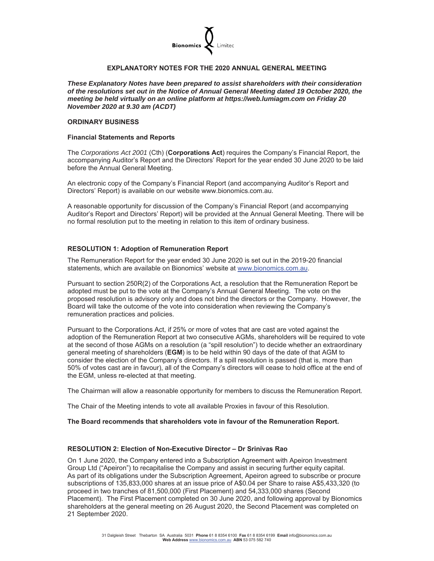

#### **EXPLANATORY NOTES FOR THE 2020 ANNUAL GENERAL MEETING**

*These Explanatory Notes have been prepared to assist shareholders with their consideration of the resolutions set out in the Notice of Annual General Meeting dated 19 October 2020, the meeting be held virtually on an online platform at https://web.lumiagm.com on Friday 20 November 2020 at 9.30 am (ACDT)* 

#### **ORDINARY BUSINESS**

#### **Financial Statements and Reports**

The *Corporations Act 2001* (Cth) (**Corporations Act**) requires the Company's Financial Report, the accompanying Auditor's Report and the Directors' Report for the year ended 30 June 2020 to be laid before the Annual General Meeting.

An electronic copy of the Company's Financial Report (and accompanying Auditor's Report and Directors' Report) is available on our website www.bionomics.com.au.

A reasonable opportunity for discussion of the Company's Financial Report (and accompanying Auditor's Report and Directors' Report) will be provided at the Annual General Meeting. There will be no formal resolution put to the meeting in relation to this item of ordinary business.

#### **RESOLUTION 1: Adoption of Remuneration Report**

The Remuneration Report for the year ended 30 June 2020 is set out in the 2019-20 financial statements, which are available on Bionomics' website at www.bionomics.com.au.

Pursuant to section 250R(2) of the Corporations Act, a resolution that the Remuneration Report be adopted must be put to the vote at the Company's Annual General Meeting. The vote on the proposed resolution is advisory only and does not bind the directors or the Company. However, the Board will take the outcome of the vote into consideration when reviewing the Company's remuneration practices and policies.

Pursuant to the Corporations Act, if 25% or more of votes that are cast are voted against the adoption of the Remuneration Report at two consecutive AGMs, shareholders will be required to vote at the second of those AGMs on a resolution (a "spill resolution") to decide whether an extraordinary general meeting of shareholders (**EGM**) is to be held within 90 days of the date of that AGM to consider the election of the Company's directors. If a spill resolution is passed (that is, more than 50% of votes cast are in favour), all of the Company's directors will cease to hold office at the end of the EGM, unless re-elected at that meeting.

The Chairman will allow a reasonable opportunity for members to discuss the Remuneration Report.

The Chair of the Meeting intends to vote all available Proxies in favour of this Resolution.

#### **The Board recommends that shareholders vote in favour of the Remuneration Report.**

#### **RESOLUTION 2: Election of Non-Executive Director – Dr Srinivas Rao**

On 1 June 2020, the Company entered into a Subscription Agreement with Apeiron Investment Group Ltd ("Apeiron") to recapitalise the Company and assist in securing further equity capital. As part of its obligations under the Subscription Agreement, Apeiron agreed to subscribe or procure subscriptions of 135,833,000 shares at an issue price of A\$0.04 per Share to raise A\$5,433,320 (to proceed in two tranches of 81,500,000 (First Placement) and 54,333,000 shares (Second Placement). The First Placement completed on 30 June 2020, and following approval by Bionomics shareholders at the general meeting on 26 August 2020, the Second Placement was completed on 21 September 2020.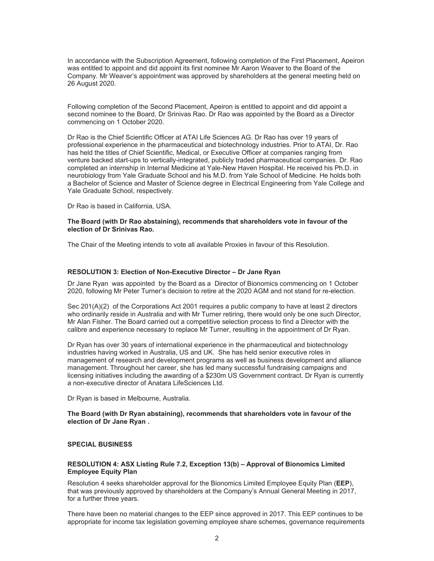In accordance with the Subscription Agreement, following completion of the First Placement, Apeiron was entitled to appoint and did appoint its first nominee Mr Aaron Weaver to the Board of the Company. Mr Weaver's appointment was approved by shareholders at the general meeting held on 26 August 2020.

Following completion of the Second Placement, Apeiron is entitled to appoint and did appoint a second nominee to the Board, Dr Srinivas Rao. Dr Rao was appointed by the Board as a Director commencing on 1 October 2020.

Dr Rao is the Chief Scientific Officer at ATAI Life Sciences AG. Dr Rao has over 19 years of professional experience in the pharmaceutical and biotechnology industries. Prior to ATAI, Dr. Rao has held the titles of Chief Scientific, Medical, or Executive Officer at companies ranging from venture backed start-ups to vertically-integrated, publicly traded pharmaceutical companies. Dr. Rao completed an internship in Internal Medicine at Yale-New Haven Hospital. He received his Ph.D. in neurobiology from Yale Graduate School and his M.D. from Yale School of Medicine. He holds both a Bachelor of Science and Master of Science degree in Electrical Engineering from Yale College and Yale Graduate School, respectively.

Dr Rao is based in California, USA.

#### **The Board (with Dr Rao abstaining), recommends that shareholders vote in favour of the election of Dr Srinivas Rao.**

The Chair of the Meeting intends to vote all available Proxies in favour of this Resolution.

#### **RESOLUTION 3: Election of Non-Executive Director – Dr Jane Ryan**

Dr Jane Ryan was appointed by the Board as a Director of Bionomics commencing on 1 October 2020, following Mr Peter Turner's decision to retire at the 2020 AGM and not stand for re-election.

Sec 201(A)(2) of the Corporations Act 2001 requires a public company to have at least 2 directors who ordinarily reside in Australia and with Mr Turner retiring, there would only be one such Director, Mr Alan Fisher. The Board carried out a competitive selection process to find a Director with the calibre and experience necessary to replace Mr Turner, resulting in the appointment of Dr Ryan.

Dr Ryan has over 30 years of international experience in the pharmaceutical and biotechnology industries having worked in Australia, US and UK. She has held senior executive roles in management of research and development programs as well as business development and alliance management. Throughout her career, she has led many successful fundraising campaigns and licensing initiatives including the awarding of a \$230m US Government contract. Dr Ryan is currently a non-executive director of Anatara LifeSciences Ltd.

Dr Ryan is based in Melbourne, Australia.

**The Board (with Dr Ryan abstaining), recommends that shareholders vote in favour of the election of Dr Jane Ryan .** 

#### **SPECIAL BUSINESS**

#### **RESOLUTION 4: ASX Listing Rule 7.2, Exception 13(b) – Approval of Bionomics Limited Employee Equity Plan**

Resolution 4 seeks shareholder approval for the Bionomics Limited Employee Equity Plan (**EEP**), that was previously approved by shareholders at the Company's Annual General Meeting in 2017, for a further three years.

There have been no material changes to the EEP since approved in 2017. This EEP continues to be appropriate for income tax legislation governing employee share schemes, governance requirements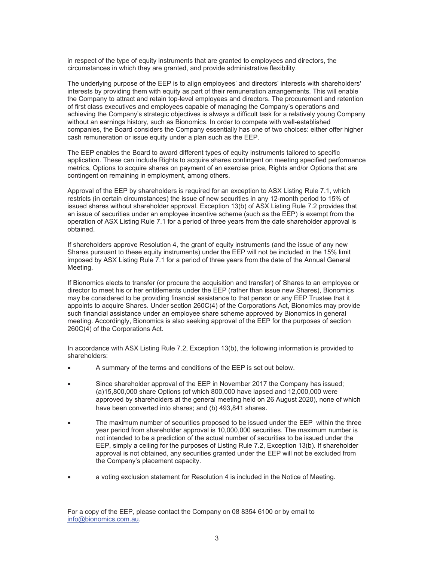in respect of the type of equity instruments that are granted to employees and directors, the circumstances in which they are granted, and provide administrative flexibility.

The underlying purpose of the EEP is to align employees' and directors' interests with shareholders' interests by providing them with equity as part of their remuneration arrangements. This will enable the Company to attract and retain top-level employees and directors. The procurement and retention of first class executives and employees capable of managing the Company's operations and achieving the Company's strategic objectives is always a difficult task for a relatively young Company without an earnings history, such as Bionomics. In order to compete with well-established companies, the Board considers the Company essentially has one of two choices: either offer higher cash remuneration or issue equity under a plan such as the EEP.

The EEP enables the Board to award different types of equity instruments tailored to specific application. These can include Rights to acquire shares contingent on meeting specified performance metrics, Options to acquire shares on payment of an exercise price, Rights and/or Options that are contingent on remaining in employment, among others.

Approval of the EEP by shareholders is required for an exception to ASX Listing Rule 7.1, which restricts (in certain circumstances) the issue of new securities in any 12-month period to 15% of issued shares without shareholder approval. Exception 13(b) of ASX Listing Rule 7.2 provides that an issue of securities under an employee incentive scheme (such as the EEP) is exempt from the operation of ASX Listing Rule 7.1 for a period of three years from the date shareholder approval is obtained.

If shareholders approve Resolution 4, the grant of equity instruments (and the issue of any new Shares pursuant to these equity instruments) under the EEP will not be included in the 15% limit imposed by ASX Listing Rule 7.1 for a period of three years from the date of the Annual General Meeting.

If Bionomics elects to transfer (or procure the acquisition and transfer) of Shares to an employee or director to meet his or her entitlements under the EEP (rather than issue new Shares), Bionomics may be considered to be providing financial assistance to that person or any EEP Trustee that it appoints to acquire Shares. Under section 260C(4) of the Corporations Act, Bionomics may provide such financial assistance under an employee share scheme approved by Bionomics in general meeting. Accordingly, Bionomics is also seeking approval of the EEP for the purposes of section 260C(4) of the Corporations Act.

In accordance with ASX Listing Rule 7.2, Exception 13(b), the following information is provided to shareholders:

- A summary of the terms and conditions of the EEP is set out below.
- Since shareholder approval of the EEP in November 2017 the Company has issued; (a)15,800,000 share Options (of which 800,000 have lapsed and 12,000,000 were approved by shareholders at the general meeting held on 26 August 2020), none of which have been converted into shares; and (b) 493,841 shares.
- The maximum number of securities proposed to be issued under the EEP within the three year period from shareholder approval is 10,000,000 securities. The maximum number is not intended to be a prediction of the actual number of securities to be issued under the EEP, simply a ceiling for the purposes of Listing Rule 7.2, Exception 13(b). If shareholder approval is not obtained, any securities granted under the EEP will not be excluded from the Company's placement capacity.
- a voting exclusion statement for Resolution 4 is included in the Notice of Meeting.

For a copy of the EEP, please contact the Company on 08 8354 6100 or by email to info@bionomics.com.au.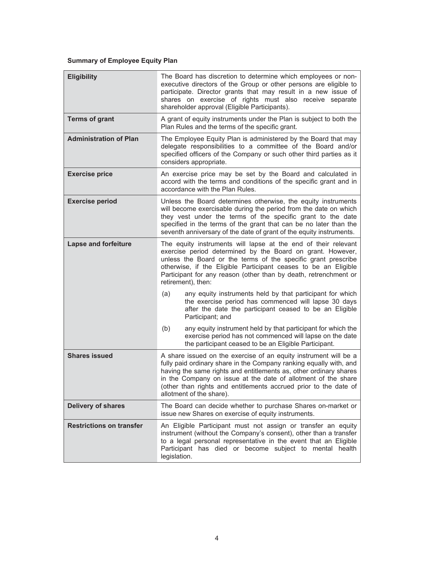#### **Summary of Employee Equity Plan**

| <b>Eligibility</b>              | The Board has discretion to determine which employees or non-<br>executive directors of the Group or other persons are eligible to<br>participate. Director grants that may result in a new issue of<br>shares on exercise of rights must also receive separate<br>shareholder approval (Eligible Participants).                                                             |  |  |  |  |
|---------------------------------|------------------------------------------------------------------------------------------------------------------------------------------------------------------------------------------------------------------------------------------------------------------------------------------------------------------------------------------------------------------------------|--|--|--|--|
| <b>Terms of grant</b>           | A grant of equity instruments under the Plan is subject to both the<br>Plan Rules and the terms of the specific grant.                                                                                                                                                                                                                                                       |  |  |  |  |
| <b>Administration of Plan</b>   | The Employee Equity Plan is administered by the Board that may<br>delegate responsibilities to a committee of the Board and/or<br>specified officers of the Company or such other third parties as it<br>considers appropriate.                                                                                                                                              |  |  |  |  |
| <b>Exercise price</b>           | An exercise price may be set by the Board and calculated in<br>accord with the terms and conditions of the specific grant and in<br>accordance with the Plan Rules.                                                                                                                                                                                                          |  |  |  |  |
| <b>Exercise period</b>          | Unless the Board determines otherwise, the equity instruments<br>will become exercisable during the period from the date on which<br>they vest under the terms of the specific grant to the date<br>specified in the terms of the grant that can be no later than the<br>seventh anniversary of the date of grant of the equity instruments.                                 |  |  |  |  |
| <b>Lapse and forfeiture</b>     | The equity instruments will lapse at the end of their relevant<br>exercise period determined by the Board on grant. However,<br>unless the Board or the terms of the specific grant prescribe<br>otherwise, if the Eligible Participant ceases to be an Eligible<br>Participant for any reason (other than by death, retrenchment or<br>retirement), then:                   |  |  |  |  |
|                                 | any equity instruments held by that participant for which<br>(a)<br>the exercise period has commenced will lapse 30 days<br>after the date the participant ceased to be an Eligible<br>Participant; and                                                                                                                                                                      |  |  |  |  |
|                                 | any equity instrument held by that participant for which the<br>(b)<br>exercise period has not commenced will lapse on the date<br>the participant ceased to be an Eligible Participant.                                                                                                                                                                                     |  |  |  |  |
| <b>Shares issued</b>            | A share issued on the exercise of an equity instrument will be a<br>fully paid ordinary share in the Company ranking equally with, and<br>having the same rights and entitlements as, other ordinary shares<br>in the Company on issue at the date of allotment of the share<br>(other than rights and entitlements accrued prior to the date of<br>allotment of the share). |  |  |  |  |
| <b>Delivery of shares</b>       | The Board can decide whether to purchase Shares on-market or<br>issue new Shares on exercise of equity instruments.                                                                                                                                                                                                                                                          |  |  |  |  |
| <b>Restrictions on transfer</b> | An Eligible Participant must not assign or transfer an equity<br>instrument (without the Company's consent), other than a transfer<br>to a legal personal representative in the event that an Eligible<br>Participant has died or become subject to mental health<br>legislation.                                                                                            |  |  |  |  |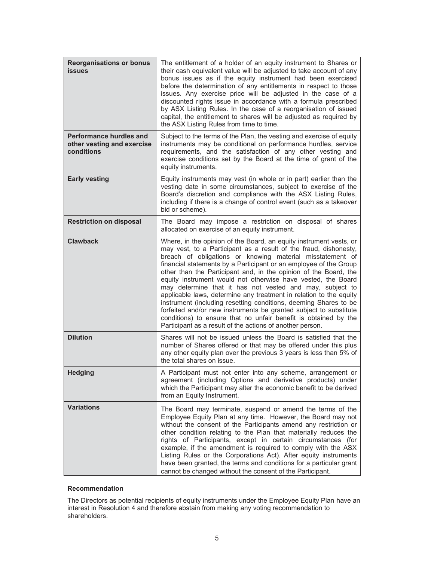| <b>Reorganisations or bonus</b><br><b>issues</b>                           | The entitlement of a holder of an equity instrument to Shares or<br>their cash equivalent value will be adjusted to take account of any<br>bonus issues as if the equity instrument had been exercised<br>before the determination of any entitlements in respect to those<br>issues. Any exercise price will be adjusted in the case of a<br>discounted rights issue in accordance with a formula prescribed<br>by ASX Listing Rules. In the case of a reorganisation of issued<br>capital, the entitlement to shares will be adjusted as required by<br>the ASX Listing Rules from time to time.                                                                                                                                                                                                                      |
|----------------------------------------------------------------------------|-------------------------------------------------------------------------------------------------------------------------------------------------------------------------------------------------------------------------------------------------------------------------------------------------------------------------------------------------------------------------------------------------------------------------------------------------------------------------------------------------------------------------------------------------------------------------------------------------------------------------------------------------------------------------------------------------------------------------------------------------------------------------------------------------------------------------|
| <b>Performance hurdles and</b><br>other vesting and exercise<br>conditions | Subject to the terms of the Plan, the vesting and exercise of equity<br>instruments may be conditional on performance hurdles, service<br>requirements, and the satisfaction of any other vesting and<br>exercise conditions set by the Board at the time of grant of the<br>equity instruments.                                                                                                                                                                                                                                                                                                                                                                                                                                                                                                                        |
| <b>Early vesting</b>                                                       | Equity instruments may vest (in whole or in part) earlier than the<br>vesting date in some circumstances, subject to exercise of the<br>Board's discretion and compliance with the ASX Listing Rules,<br>including if there is a change of control event (such as a takeover<br>bid or scheme).                                                                                                                                                                                                                                                                                                                                                                                                                                                                                                                         |
| <b>Restriction on disposal</b>                                             | The Board may impose a restriction on disposal of shares<br>allocated on exercise of an equity instrument.                                                                                                                                                                                                                                                                                                                                                                                                                                                                                                                                                                                                                                                                                                              |
| <b>Clawback</b>                                                            | Where, in the opinion of the Board, an equity instrument vests, or<br>may vest, to a Participant as a result of the fraud, dishonesty,<br>breach of obligations or knowing material misstatement of<br>financial statements by a Participant or an employee of the Group<br>other than the Participant and, in the opinion of the Board, the<br>equity instrument would not otherwise have vested, the Board<br>may determine that it has not vested and may, subject to<br>applicable laws, determine any treatment in relation to the equity<br>instrument (including resetting conditions, deeming Shares to be<br>forfeited and/or new instruments be granted subject to substitute<br>conditions) to ensure that no unfair benefit is obtained by the<br>Participant as a result of the actions of another person. |
| <b>Dilution</b>                                                            | Shares will not be issued unless the Board is satisfied that the<br>number of Shares offered or that may be offered under this plus<br>any other equity plan over the previous 3 years is less than 5% of<br>the total shares on issue.                                                                                                                                                                                                                                                                                                                                                                                                                                                                                                                                                                                 |
| <b>Hedging</b>                                                             | A Participant must not enter into any scheme, arrangement or<br>agreement (including Options and derivative products) under<br>which the Participant may alter the economic benefit to be derived<br>from an Equity Instrument.                                                                                                                                                                                                                                                                                                                                                                                                                                                                                                                                                                                         |
| <b>Variations</b>                                                          | The Board may terminate, suspend or amend the terms of the<br>Employee Equity Plan at any time. However, the Board may not<br>without the consent of the Participants amend any restriction or<br>other condition relating to the Plan that materially reduces the<br>rights of Participants, except in certain circumstances (for<br>example, if the amendment is required to comply with the ASX<br>Listing Rules or the Corporations Act). After equity instruments<br>have been granted, the terms and conditions for a particular grant<br>cannot be changed without the consent of the Participant.                                                                                                                                                                                                               |

#### **Recommendation**

The Directors as potential recipients of equity instruments under the Employee Equity Plan have an interest in Resolution 4 and therefore abstain from making any voting recommendation to shareholders.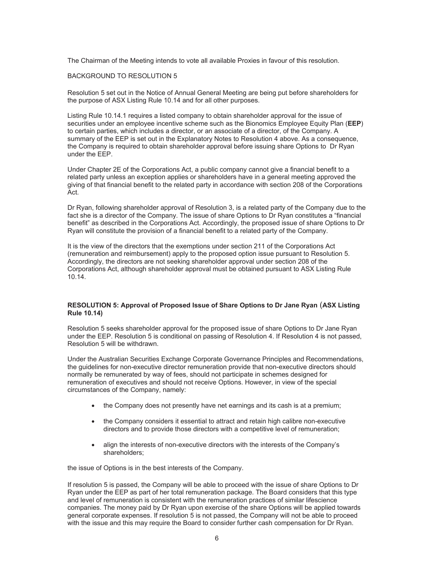The Chairman of the Meeting intends to vote all available Proxies in favour of this resolution.

#### BACKGROUND TO RESOLUTION 5

Resolution 5 set out in the Notice of Annual General Meeting are being put before shareholders for the purpose of ASX Listing Rule 10.14 and for all other purposes.

Listing Rule 10.14.1 requires a listed company to obtain shareholder approval for the issue of securities under an employee incentive scheme such as the Bionomics Employee Equity Plan (**EEP**) to certain parties, which includes a director, or an associate of a director, of the Company. A summary of the EEP is set out in the Explanatory Notes to Resolution 4 above. As a consequence, the Company is required to obtain shareholder approval before issuing share Options to Dr Ryan under the EEP.

Under Chapter 2E of the Corporations Act, a public company cannot give a financial benefit to a related party unless an exception applies or shareholders have in a general meeting approved the giving of that financial benefit to the related party in accordance with section 208 of the Corporations Act.

Dr Ryan, following shareholder approval of Resolution 3, is a related party of the Company due to the fact she is a director of the Company. The issue of share Options to Dr Ryan constitutes a "financial benefit" as described in the Corporations Act. Accordingly, the proposed issue of share Options to Dr Ryan will constitute the provision of a financial benefit to a related party of the Company.

It is the view of the directors that the exemptions under section 211 of the Corporations Act (remuneration and reimbursement) apply to the proposed option issue pursuant to Resolution 5. Accordingly, the directors are not seeking shareholder approval under section 208 of the Corporations Act, although shareholder approval must be obtained pursuant to ASX Listing Rule 10.14.

#### **RESOLUTION 5: Approval of Proposed Issue of Share Options to Dr Jane Ryan** (**ASX Listing Rule 10.14)**

Resolution 5 seeks shareholder approval for the proposed issue of share Options to Dr Jane Ryan under the EEP. Resolution 5 is conditional on passing of Resolution 4. If Resolution 4 is not passed, Resolution 5 will be withdrawn.

Under the Australian Securities Exchange Corporate Governance Principles and Recommendations, the guidelines for non-executive director remuneration provide that non-executive directors should normally be remunerated by way of fees, should not participate in schemes designed for remuneration of executives and should not receive Options. However, in view of the special circumstances of the Company, namely:

- $\bullet$  the Company does not presently have net earnings and its cash is at a premium;
- the Company considers it essential to attract and retain high calibre non-executive directors and to provide those directors with a competitive level of remuneration;
- align the interests of non-executive directors with the interests of the Company's shareholders;

the issue of Options is in the best interests of the Company.

If resolution 5 is passed, the Company will be able to proceed with the issue of share Options to Dr Ryan under the EEP as part of her total remuneration package. The Board considers that this type and level of remuneration is consistent with the remuneration practices of similar lifescience companies. The money paid by Dr Ryan upon exercise of the share Options will be applied towards general corporate expenses. If resolution 5 is not passed, the Company will not be able to proceed with the issue and this may require the Board to consider further cash compensation for Dr Ryan.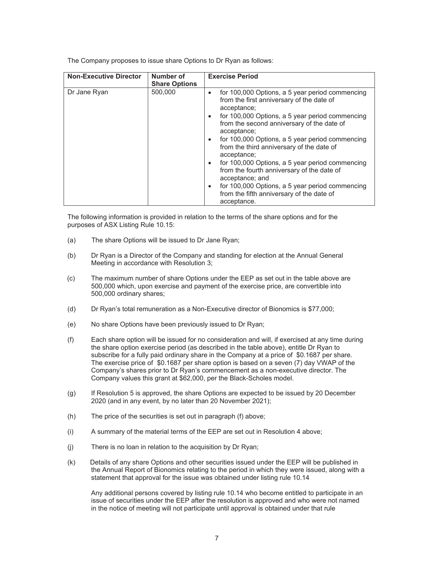The Company proposes to issue share Options to Dr Ryan as follows:

| <b>Non-Executive Director</b> | Number of            | <b>Exercise Period</b>                                                                                                                                                                                                                                                                                                                                                                                                                                                                                                                                                                                                          |  |  |
|-------------------------------|----------------------|---------------------------------------------------------------------------------------------------------------------------------------------------------------------------------------------------------------------------------------------------------------------------------------------------------------------------------------------------------------------------------------------------------------------------------------------------------------------------------------------------------------------------------------------------------------------------------------------------------------------------------|--|--|
|                               | <b>Share Options</b> |                                                                                                                                                                                                                                                                                                                                                                                                                                                                                                                                                                                                                                 |  |  |
| Dr Jane Ryan                  | 500,000              | for 100,000 Options, a 5 year period commencing<br>$\bullet$<br>from the first anniversary of the date of<br>acceptance;<br>for 100,000 Options, a 5 year period commencing<br>$\bullet$<br>from the second anniversary of the date of<br>acceptance;<br>for 100,000 Options, a 5 year period commencing<br>$\bullet$<br>from the third anniversary of the date of<br>acceptance;<br>for 100,000 Options, a 5 year period commencing<br>$\bullet$<br>from the fourth anniversary of the date of<br>acceptance; and<br>for 100,000 Options, a 5 year period commencing<br>$\bullet$<br>from the fifth anniversary of the date of |  |  |
|                               |                      | acceptance.                                                                                                                                                                                                                                                                                                                                                                                                                                                                                                                                                                                                                     |  |  |

The following information is provided in relation to the terms of the share options and for the purposes of ASX Listing Rule 10.15:

- (a) The share Options will be issued to Dr Jane Ryan;
- (b) Dr Ryan is a Director of the Company and standing for election at the Annual General Meeting in accordance with Resolution 3;
- (c) The maximum number of share Options under the EEP as set out in the table above are 500,000 which, upon exercise and payment of the exercise price, are convertible into 500,000 ordinary shares;
- (d) Dr Ryan's total remuneration as a Non-Executive director of Bionomics is \$77,000;
- (e) No share Options have been previously issued to Dr Ryan;
- (f) Each share option will be issued for no consideration and will, if exercised at any time during the share option exercise period (as described in the table above), entitle Dr Ryan to subscribe for a fully paid ordinary share in the Company at a price of \$0.1687 per share. The exercise price of \$0.1687 per share option is based on a seven (7) day VWAP of the Company's shares prior to Dr Ryan's commencement as a non-executive director. The Company values this grant at \$62,000, per the Black-Scholes model.
- (g) If Resolution 5 is approved, the share Options are expected to be issued by 20 December 2020 (and in any event, by no later than 20 November 2021);
- (h) The price of the securities is set out in paragraph (f) above;
- (i) A summary of the material terms of the EEP are set out in Resolution 4 above;
- (j) There is no loan in relation to the acquisition by Dr Ryan;
- (k) Details of any share Options and other securities issued under the EEP will be published in the Annual Report of Bionomics relating to the period in which they were issued, along with a statement that approval for the issue was obtained under listing rule 10.14

 Any additional persons covered by listing rule 10.14 who become entitled to participate in an issue of securities under the EEP after the resolution is approved and who were not named in the notice of meeting will not participate until approval is obtained under that rule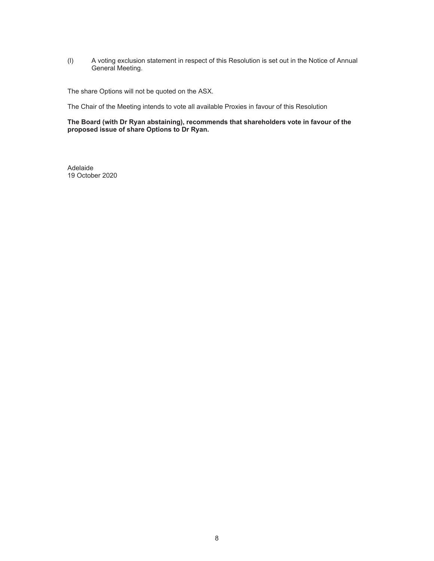(l) A voting exclusion statement in respect of this Resolution is set out in the Notice of Annual General Meeting.

The share Options will not be quoted on the ASX.

The Chair of the Meeting intends to vote all available Proxies in favour of this Resolution

**The Board (with Dr Ryan abstaining), recommends that shareholders vote in favour of the proposed issue of share Options to Dr Ryan.** 

Adelaide 19 October 2020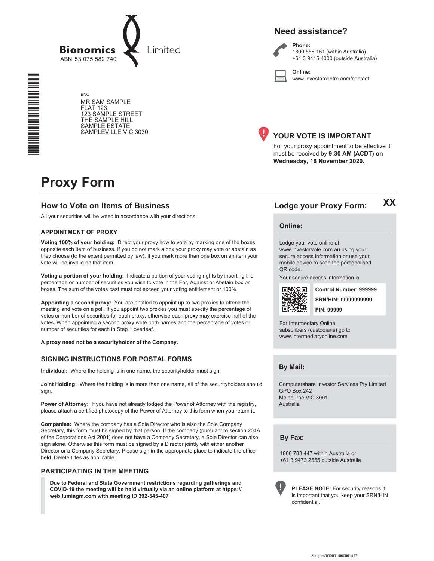

**BNO** MR SAM SAMPLE **FLAT 123** 123 SAMPLE STREET THE SAMPLE HILL SAMPLE ESTATE SAMPLEVILLE VIC 3030





Phone: 1300 556 161 (within Australia) +61 3 9415 4000 (outside Australia)

Online: www.investorcentre.com/contact



#### YOUR VOTE IS IMPORTANT

For your proxy appointment to be effective it must be received by 9:30 AM (ACDT) on Wednesday, 18 November 2020.

# **Proxy Form**

#### **How to Vote on Items of Business**

All your securities will be voted in accordance with your directions.

#### **APPOINTMENT OF PROXY**

Voting 100% of your holding: Direct your proxy how to vote by marking one of the boxes opposite each item of business. If you do not mark a box your proxy may vote or abstain as they choose (to the extent permitted by law). If you mark more than one box on an item your vote will be invalid on that item.

Voting a portion of your holding: Indicate a portion of your voting rights by inserting the percentage or number of securities you wish to vote in the For, Against or Abstain box or boxes. The sum of the votes cast must not exceed your voting entitlement or 100%.

Appointing a second proxy: You are entitled to appoint up to two proxies to attend the meeting and vote on a poll. If you appoint two proxies you must specify the percentage of votes or number of securities for each proxy, otherwise each proxy may exercise half of the votes. When appointing a second proxy write both names and the percentage of votes or number of securities for each in Step 1 overleaf.

A proxy need not be a securityholder of the Company.

#### **SIGNING INSTRUCTIONS FOR POSTAL FORMS**

Individual: Where the holding is in one name, the securityholder must sign.

Joint Holding: Where the holding is in more than one name, all of the securityholders should sign.

Power of Attorney: If you have not already lodged the Power of Attorney with the registry. please attach a certified photocopy of the Power of Attorney to this form when you return it.

Companies: Where the company has a Sole Director who is also the Sole Company Secretary, this form must be signed by that person. If the company (pursuant to section 204A of the Corporations Act 2001) does not have a Company Secretary, a Sole Director can also sign alone. Otherwise this form must be signed by a Director jointly with either another Director or a Company Secretary. Please sign in the appropriate place to indicate the office held. Delete titles as applicable.

#### PARTICIPATING IN THE MEETING

Due to Federal and State Government restrictions regarding gatherings and COVID-19 the meeting will be held virtually via an online platform at htpps:// web.lumiagm.com with meeting ID 392-545-407

**XX** Lodge your Proxy Form:

#### **Online:**

Lodge your vote online at www.investorvote.com.au using your secure access information or use your mobile device to scan the personalised OR code

Your secure access information is



Control Number: 999999 **SRN/HIN: 19999999999 PIN: 99999** 

For Intermediary Online subscribers (custodians) go to www.intermediaryonline.com

**By Mail:** 

Computershare Investor Services Pty Limited GPO Box 242 Melbourne VIC 3001 Australia

**Bv Fax:** 

1800 783 447 within Australia or +61 3 9473 2555 outside Australia



PLEASE NOTE: For security reasons it is important that you keep your SRN/HIN confidential